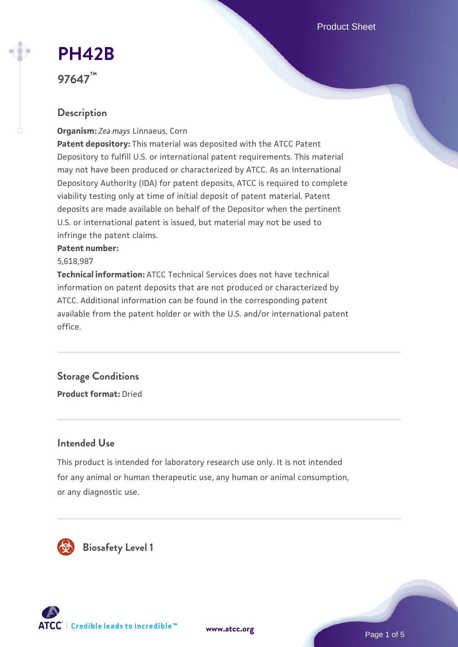Product Sheet

# **[PH42B](https://www.atcc.org/products/97647)**

**97647™**

# **Description**

**Organism:** *Zea mays* Linnaeus, Corn

**Patent depository:** This material was deposited with the ATCC Patent Depository to fulfill U.S. or international patent requirements. This material may not have been produced or characterized by ATCC. As an International Depository Authority (IDA) for patent deposits, ATCC is required to complete viability testing only at time of initial deposit of patent material. Patent deposits are made available on behalf of the Depositor when the pertinent U.S. or international patent is issued, but material may not be used to infringe the patent claims.

#### **Patent number:**

5,618,987

**Technical information:** ATCC Technical Services does not have technical information on patent deposits that are not produced or characterized by ATCC. Additional information can be found in the corresponding patent available from the patent holder or with the U.S. and/or international patent office.

# **Storage Conditions**

**Product format:** Dried

### **Intended Use**

This product is intended for laboratory research use only. It is not intended for any animal or human therapeutic use, any human or animal consumption, or any diagnostic use.



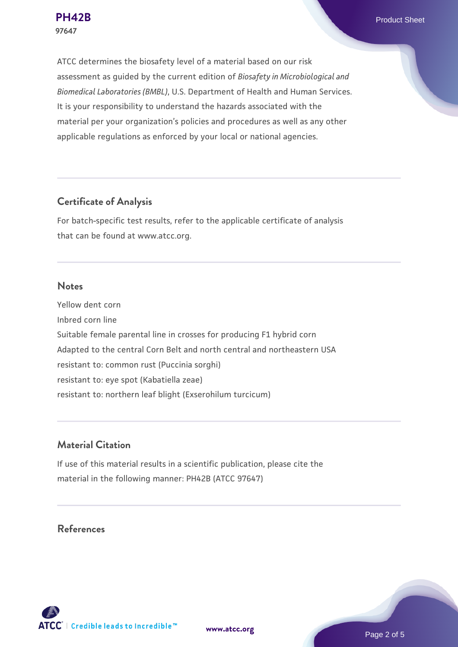**[PH42B](https://www.atcc.org/products/97647)** Product Sheet

ATCC determines the biosafety level of a material based on our risk assessment as guided by the current edition of *Biosafety in Microbiological and Biomedical Laboratories (BMBL)*, U.S. Department of Health and Human Services. It is your responsibility to understand the hazards associated with the material per your organization's policies and procedures as well as any other applicable regulations as enforced by your local or national agencies.

### **Certificate of Analysis**

For batch-specific test results, refer to the applicable certificate of analysis that can be found at www.atcc.org.

#### **Notes**

Yellow dent corn Inbred corn line Suitable female parental line in crosses for producing F1 hybrid corn Adapted to the central Corn Belt and north central and northeastern USA resistant to: common rust (Puccinia sorghi) resistant to: eye spot (Kabatiella zeae) resistant to: northern leaf blight (Exserohilum turcicum)

### **Material Citation**

If use of this material results in a scientific publication, please cite the material in the following manner: PH42B (ATCC 97647)

### **References**



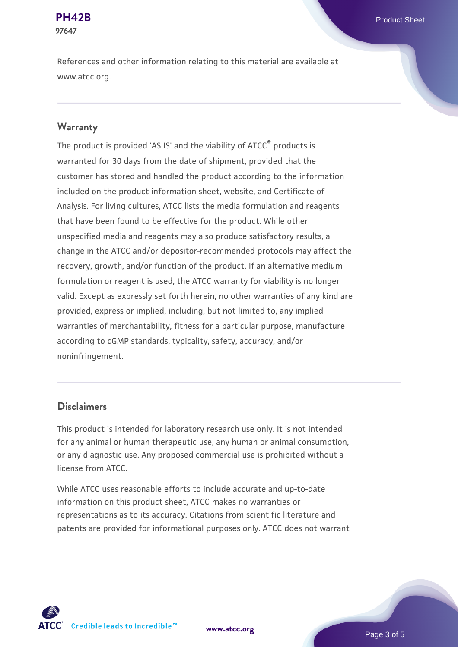# **97647**

References and other information relating to this material are available at www.atcc.org.

#### **Warranty**

The product is provided 'AS IS' and the viability of ATCC® products is warranted for 30 days from the date of shipment, provided that the customer has stored and handled the product according to the information included on the product information sheet, website, and Certificate of Analysis. For living cultures, ATCC lists the media formulation and reagents that have been found to be effective for the product. While other unspecified media and reagents may also produce satisfactory results, a change in the ATCC and/or depositor-recommended protocols may affect the recovery, growth, and/or function of the product. If an alternative medium formulation or reagent is used, the ATCC warranty for viability is no longer valid. Except as expressly set forth herein, no other warranties of any kind are provided, express or implied, including, but not limited to, any implied warranties of merchantability, fitness for a particular purpose, manufacture according to cGMP standards, typicality, safety, accuracy, and/or noninfringement.

#### **Disclaimers**

This product is intended for laboratory research use only. It is not intended for any animal or human therapeutic use, any human or animal consumption, or any diagnostic use. Any proposed commercial use is prohibited without a license from ATCC.

While ATCC uses reasonable efforts to include accurate and up-to-date information on this product sheet, ATCC makes no warranties or representations as to its accuracy. Citations from scientific literature and patents are provided for informational purposes only. ATCC does not warrant



**[www.atcc.org](http://www.atcc.org)**

Page 3 of 5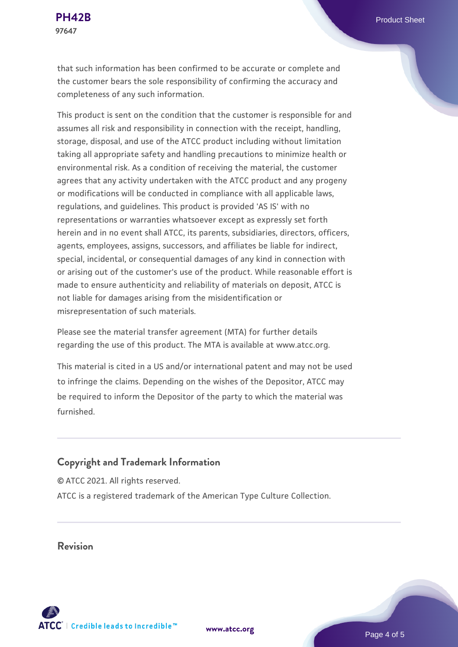that such information has been confirmed to be accurate or complete and the customer bears the sole responsibility of confirming the accuracy and completeness of any such information.

This product is sent on the condition that the customer is responsible for and assumes all risk and responsibility in connection with the receipt, handling, storage, disposal, and use of the ATCC product including without limitation taking all appropriate safety and handling precautions to minimize health or environmental risk. As a condition of receiving the material, the customer agrees that any activity undertaken with the ATCC product and any progeny or modifications will be conducted in compliance with all applicable laws, regulations, and guidelines. This product is provided 'AS IS' with no representations or warranties whatsoever except as expressly set forth herein and in no event shall ATCC, its parents, subsidiaries, directors, officers, agents, employees, assigns, successors, and affiliates be liable for indirect, special, incidental, or consequential damages of any kind in connection with or arising out of the customer's use of the product. While reasonable effort is made to ensure authenticity and reliability of materials on deposit, ATCC is not liable for damages arising from the misidentification or misrepresentation of such materials.

Please see the material transfer agreement (MTA) for further details regarding the use of this product. The MTA is available at www.atcc.org.

This material is cited in a US and/or international patent and may not be used to infringe the claims. Depending on the wishes of the Depositor, ATCC may be required to inform the Depositor of the party to which the material was furnished.

#### **Copyright and Trademark Information**

© ATCC 2021. All rights reserved. ATCC is a registered trademark of the American Type Culture Collection.

**Revision**